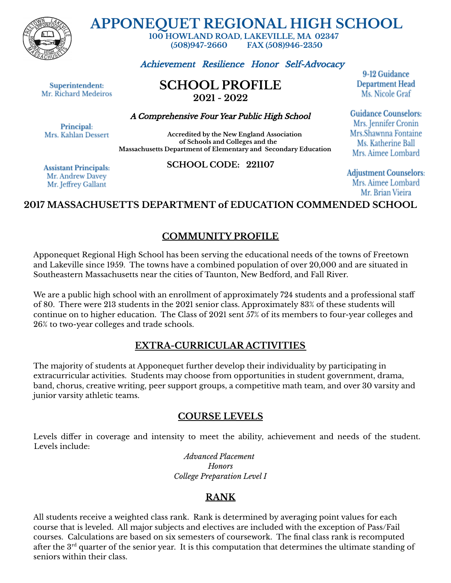

**APPONEQUET REGIONAL HIGH SCHOOL**

**100 HOWLAND ROAD, LAKEVILLE, MA 02347 (508)947-2660 FAX (508)946-2350**

Achievement Resilience Honor Self-Advocacy

Superintendent: Mr. Richard Medeiros **SCHOOL PROFILE 2021 - 2022**

A Comprehensive Four Year Public High School

Principal: Mrs. Kahlan Dessert

**Accredited by the New England Association of Schools and Colleges and the Massachusetts Department of Elementary and Secondary Education**

**Assistant Principals:** Mr. Andrew Davey Mr. Jeffrey Gallant

**SCHOOL CODE: 221107**

9-12 Guidance **Department Head** Ms. Nicole Graf

**Guidance Counselors:** Mrs. Jennifer Cronin Mrs.Shawnna Fontaine Ms. Katherine Ball Mrs. Aimee Lombard

**Adjustment Counselors:** Mrs. Aimee Lombard Mr. Brian Vieira

# **2017 MASSACHUSETTS DEPARTMENT of EDUCATION COMMENDED SCHOOL**

### **COMMUNITY PROFILE**

Apponequet Regional High School has been serving the educational needs of the towns of Freetown and Lakeville since 1959. The towns have a combined population of over 20,000 and are situated in Southeastern Massachusetts near the cities of Taunton, New Bedford, and Fall River.

We are a public high school with an enrollment of approximately 724 students and a professional staff of 80. There were 213 students in the 2021 senior class. Approximately 83% of these students will continue on to higher education. The Class of 2021 sent 57% of its members to four-year colleges and 26% to two-year colleges and trade schools.

### **EXTRA-CURRICULAR ACTIVITIES**

The majority of students at Apponequet further develop their individuality by participating in extracurricular activities. Students may choose from opportunities in student government, drama, band, chorus, creative writing, peer support groups, a competitive math team, and over 30 varsity and junior varsity athletic teams.

### **COURSE LEVELS**

Levels differ in coverage and intensity to meet the ability, achievement and needs of the student. Levels include:

> *Advanced Placement Honors College Preparation Level I*

# **RANK**

All students receive a weighted class rank. Rank is determined by averaging point values for each course that is leveled. All major subjects and electives are included with the exception of Pass/Fail courses. Calculations are based on six semesters of coursework. The final class rank is recomputed after the  $3^{\rm rd}$  quarter of the senior year. It is this computation that determines the ultimate standing of seniors within their class.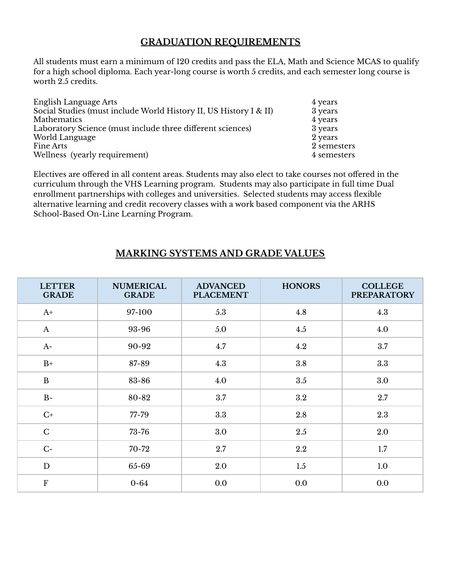### **GRADUATION REQUIREMENTS**

All students must earn a minimum of 120 credits and pass the ELA, Math and Science MCAS to qualify for a high school diploma. Each year-long course is worth 5 credits, and each semester long course is worth 2.5 credits.

| English Language Arts                                             | 4 years     |
|-------------------------------------------------------------------|-------------|
| Social Studies (must include World History II, US History I & II) | 3 years     |
| Mathematics                                                       | 4 years     |
| Laboratory Science (must include three different sciences)        | 3 years     |
| World Language                                                    | 2 years     |
| <b>Fine Arts</b>                                                  | 2 semesters |
| Wellness (yearly requirement)                                     | 4 semesters |

Electives are offered in all content areas. Students may also elect to take courses not offered in the curriculum through the VHS Learning program. Students may also participate in full time Dual enrollment partnerships with colleges and universities. Selected students may access flexible alternative learning and credit recovery classes with a work based component via the ARHS School-Based On-Line Learning Program.

# **MARKING SYSTEMS AND GRADE VALUES**

| <b>LETTER</b><br><b>GRADE</b> | <b>NUMERICAL</b><br><b>GRADE</b> | <b>ADVANCED</b><br><b>PLACEMENT</b> | <b>HONORS</b> | <b>COLLEGE</b><br><b>PREPARATORY</b> |
|-------------------------------|----------------------------------|-------------------------------------|---------------|--------------------------------------|
| $A+$                          | 97-100                           | 5.3                                 | 4.8           | 4.3                                  |
| $\mathbf{A}$                  | 93-96                            | 5.0                                 | 4.5           | 4.0                                  |
| $A-$                          | 90-92                            | 4.7                                 | 4.2           | 3.7                                  |
| $B+$                          | 87-89                            | 4.3                                 | 3.8           | 3.3                                  |
| $\bf{B}$                      | 83-86                            | 4.0                                 | 3.5           | 3.0                                  |
| $B-$                          | 80-82                            | 3.7                                 | $3.2\,$       | 2.7                                  |
| $C+$                          | 77-79                            | 3.3                                 | 2.8           | 2.3                                  |
| $\mathsf{C}$                  | 73-76                            | 3.0                                 | 2.5           | 2.0                                  |
| $C-$                          | 70-72                            | 2.7                                 | 2.2           | 1.7                                  |
| D                             | 65-69                            | 2.0                                 | 1.5           | 1.0                                  |
| $\boldsymbol{\mathrm{F}}$     | $0 - 64$                         | 0.0                                 | 0.0           | 0.0                                  |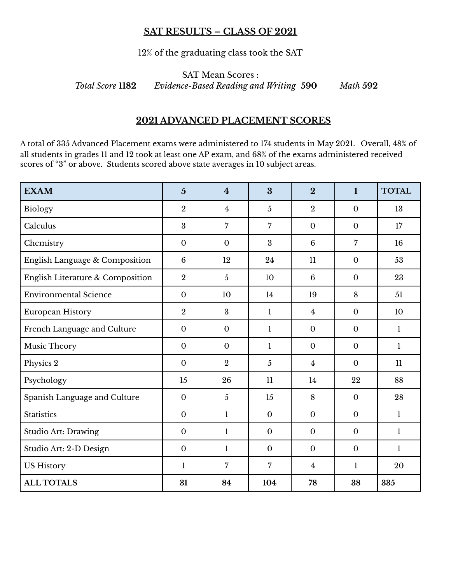#### **SAT RESULTS – CLASS OF 2021**

12% of the graduating class took the SAT

SAT Mean Scores : *Total Score* **1182** *Evidence-Based Reading and Writing* **590** *Math* **592**

#### **2021 ADVANCED PLACEMENT SCORES**

A total of 335 Advanced Placement exams were administered to 174 students in May 2021. Overall, 48% of all students in grades 11 and 12 took at least one AP exam, and 68% of the exams administered received scores of "3" or above. Students scored above state averages in 10 subject areas.

| <b>EXAM</b>                      | $\overline{5}$ | $\overline{4}$ | $\overline{3}$ | $\overline{2}$ | $\mathbf{1}$   | <b>TOTAL</b> |
|----------------------------------|----------------|----------------|----------------|----------------|----------------|--------------|
| Biology                          | $\overline{2}$ | 4              | 5              | $\overline{2}$ | $\mathbf{0}$   | 13           |
| Calculus                         | 3              | $\overline{7}$ | $\overline{7}$ | $\mathbf{0}$   | $\mathbf{0}$   | 17           |
| Chemistry                        | $\mathbf{0}$   | $\mathbf{0}$   | $\overline{3}$ | 6              | $\overline{7}$ | 16           |
| English Language & Composition   | 6              | 12             | 24             | 11             | $\mathbf{0}$   | 53           |
| English Literature & Composition | $\overline{2}$ | $\overline{5}$ | 10             | 6              | $\overline{0}$ | 23           |
| <b>Environmental Science</b>     | $\mathbf{0}$   | 10             | 14             | 19             | 8              | 51           |
| European History                 | $\overline{2}$ | 3              | 1              | 4              | $\mathbf{0}$   | 10           |
| French Language and Culture      | $\mathbf{0}$   | $\mathbf{0}$   | $\mathbf{1}$   | $\mathbf{0}$   | $\mathbf{0}$   | $\mathbf{1}$ |
| Music Theory                     | $\mathbf{0}$   | $\mathbf{0}$   | $\mathbf{1}$   | $\mathbf{0}$   | $\mathbf{0}$   | $\mathbf{1}$ |
| Physics 2                        | $\mathbf{0}$   | $\overline{2}$ | $\overline{5}$ | 4              | $\overline{0}$ | 11           |
| Psychology                       | 15             | 26             | 11             | 14             | 22             | 88           |
| Spanish Language and Culture     | $\mathbf{0}$   | $\overline{5}$ | 15             | 8              | $\mathbf{0}$   | 28           |
| <b>Statistics</b>                | $\mathbf{0}$   | $\mathbf{1}$   | $\mathbf{0}$   | $\mathbf{0}$   | $\mathbf{0}$   | $\mathbf{1}$ |
| <b>Studio Art: Drawing</b>       | $\mathbf{0}$   | 1              | $\mathbf{0}$   | $\mathbf{0}$   | $\mathbf{0}$   | 1            |
| Studio Art: 2-D Design           | $\mathbf{0}$   | 1              | $\mathbf{0}$   | $\mathbf{0}$   | $\mathbf{0}$   | 1            |
| <b>US History</b>                | 1              | $\overline{7}$ | $\overline{7}$ | 4              | $\mathbf{1}$   | 20           |
| <b>ALL TOTALS</b>                | 31             | 84             | 104            | 78             | 38             | 335          |